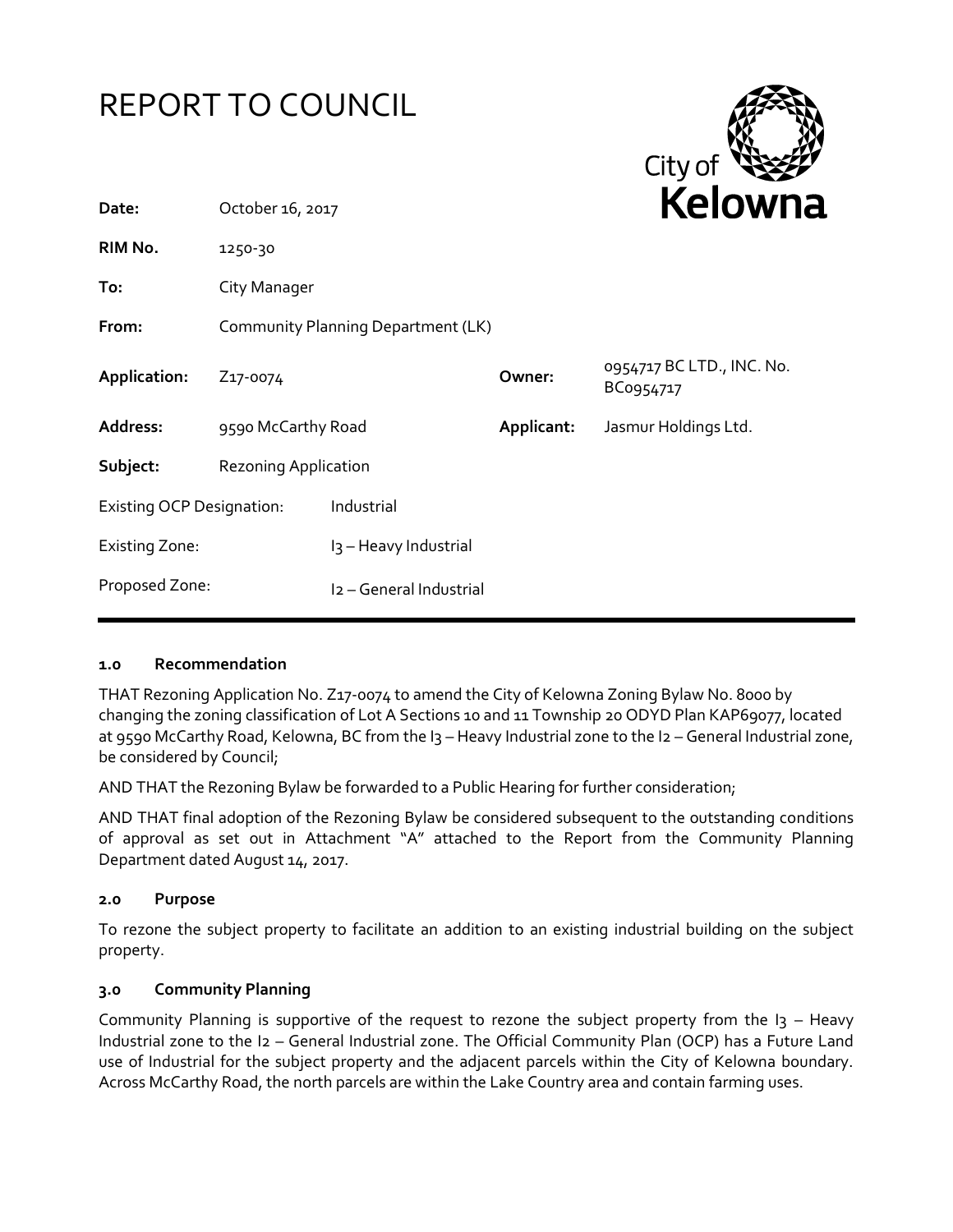

### **1.0 Recommendation**

THAT Rezoning Application No. Z17-0074 to amend the City of Kelowna Zoning Bylaw No. 8000 by changing the zoning classification of Lot A Sections 10 and 11 Township 20 ODYD Plan KAP69077, located at 9590 McCarthy Road, Kelowna, BC from the I3 - Heavy Industrial zone to the I2 - General Industrial zone, be considered by Council;

AND THAT the Rezoning Bylaw be forwarded to a Public Hearing for further consideration;

AND THAT final adoption of the Rezoning Bylaw be considered subsequent to the outstanding conditions of approval as set out in Attachment "A" attached to the Report from the Community Planning Department dated August 14, 2017.

### **2.0 Purpose**

To rezone the subject property to facilitate an addition to an existing industrial building on the subject property.

### **3.0 Community Planning**

Community Planning is supportive of the request to rezone the subject property from the  $I_3$  – Heavy Industrial zone to the I2 – General Industrial zone. The Official Community Plan (OCP) has a Future Land use of Industrial for the subject property and the adjacent parcels within the City of Kelowna boundary. Across McCarthy Road, the north parcels are within the Lake Country area and contain farming uses.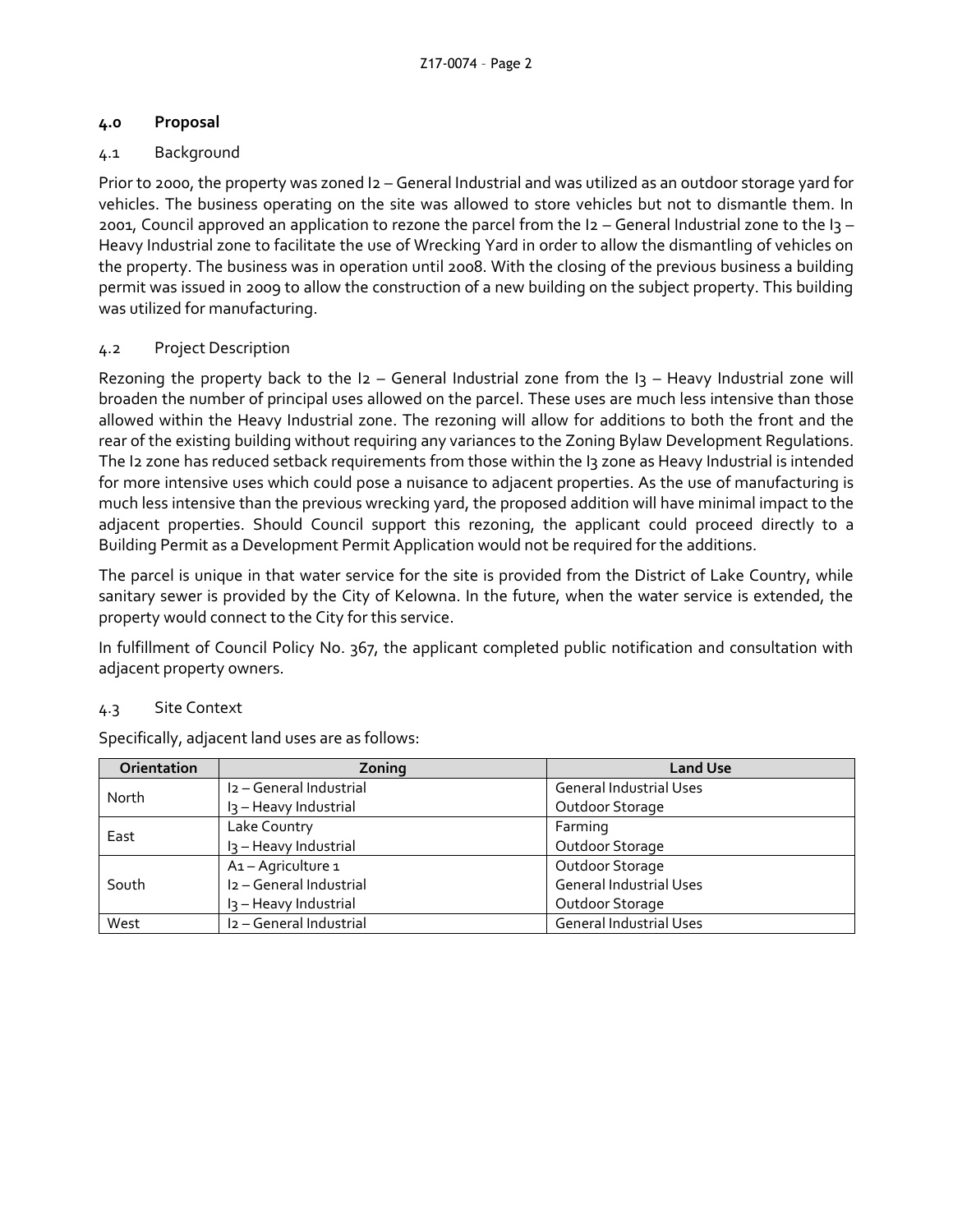# **4.0 Proposal**

# 4.1 Background

Prior to 2000, the property was zoned I2 – General Industrial and was utilized as an outdoor storage yard for vehicles. The business operating on the site was allowed to store vehicles but not to dismantle them. In 2001, Council approved an application to rezone the parcel from the I2 – General Industrial zone to the I3 – Heavy Industrial zone to facilitate the use of Wrecking Yard in order to allow the dismantling of vehicles on the property. The business was in operation until 2008. With the closing of the previous business a building permit was issued in 2009 to allow the construction of a new building on the subject property. This building was utilized for manufacturing.

# 4.2 Project Description

Rezoning the property back to the  $12$  – General Industrial zone from the  $13$  – Heavy Industrial zone will broaden the number of principal uses allowed on the parcel. These uses are much less intensive than those allowed within the Heavy Industrial zone. The rezoning will allow for additions to both the front and the rear of the existing building without requiring any variances to the Zoning Bylaw Development Regulations. The I2 zone has reduced setback requirements from those within the I3 zone as Heavy Industrial is intended for more intensive uses which could pose a nuisance to adjacent properties. As the use of manufacturing is much less intensive than the previous wrecking yard, the proposed addition will have minimal impact to the adjacent properties. Should Council support this rezoning, the applicant could proceed directly to a Building Permit as a Development Permit Application would not be required for the additions.

The parcel is unique in that water service for the site is provided from the District of Lake Country, while sanitary sewer is provided by the City of Kelowna. In the future, when the water service is extended, the property would connect to the City for this service.

In fulfillment of Council Policy No. 367, the applicant completed public notification and consultation with adjacent property owners.

# 4.3 Site Context

| <b>Orientation</b> | Zoning                              | <b>Land Use</b>                |
|--------------------|-------------------------------------|--------------------------------|
| North              | I <sub>2</sub> - General Industrial | <b>General Industrial Uses</b> |
|                    | I <sub>3</sub> - Heavy Industrial   | Outdoor Storage                |
| East               | Lake Country                        | Farming                        |
|                    | I <sub>3</sub> - Heavy Industrial   | Outdoor Storage                |
| South              | A1-Agriculture 1                    | Outdoor Storage                |
|                    | I2 - General Industrial             | <b>General Industrial Uses</b> |
|                    | I <sub>3</sub> - Heavy Industrial   | Outdoor Storage                |
| West               | I2 - General Industrial             | <b>General Industrial Uses</b> |

Specifically, adjacent land uses are as follows: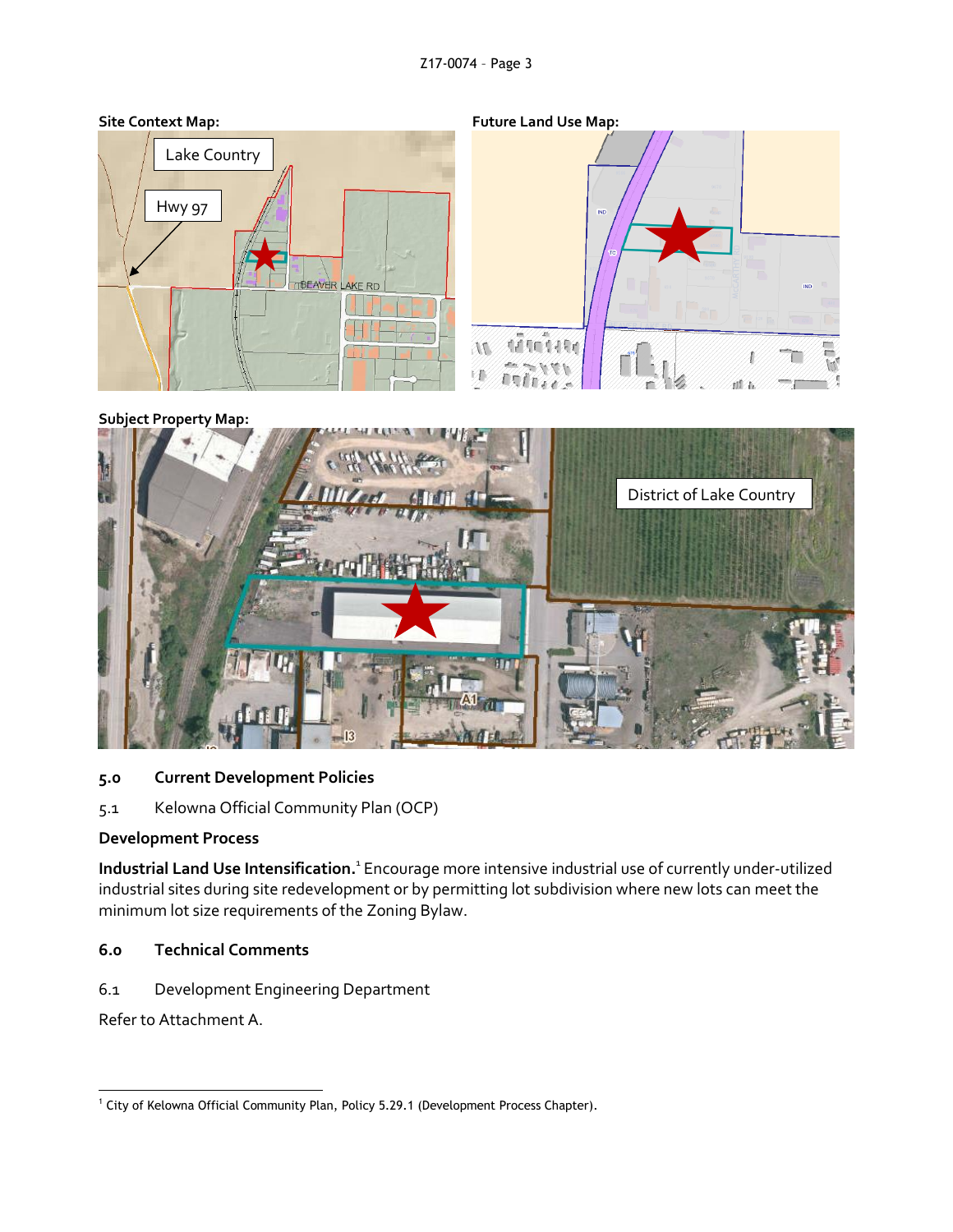

#### **Subject Property Map:**



### **5.0 Current Development Policies**

5.1 Kelowna Official Community Plan (OCP)

### **Development Process**

Industrial Land Use Intensification.<sup>1</sup> Encourage more intensive industrial use of currently under-utilized industrial sites during site redevelopment or by permitting lot subdivision where new lots can meet the minimum lot size requirements of the Zoning Bylaw.

# **6.0 Technical Comments**

6.1 Development Engineering Department

Refer to Attachment A.

<sup>-</sup><sup>1</sup> City of Kelowna Official Community Plan, Policy 5.29.1 (Development Process Chapter).